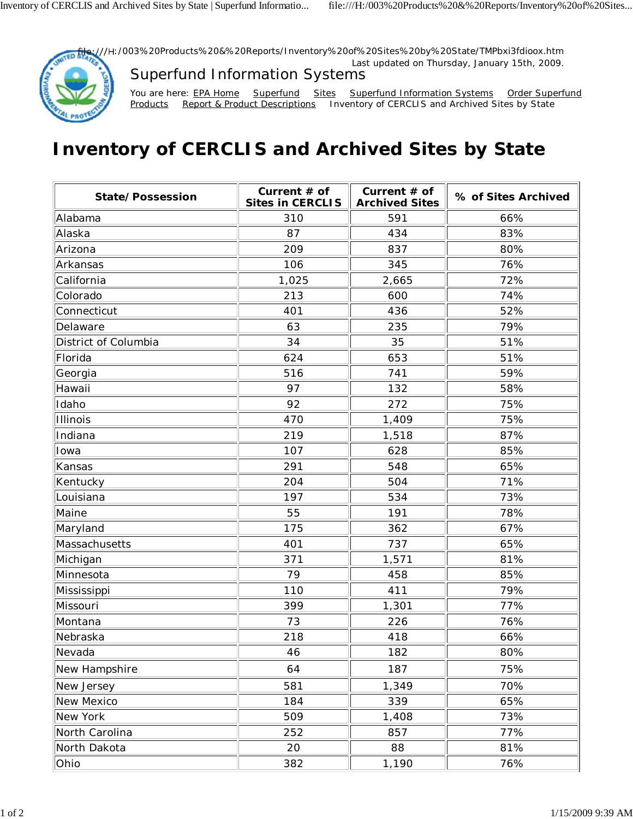## **Inventory of CERCLIS and Archived Sites by State**

| State/Possession     | Current # of<br><b>Sites in CERCLIS</b> | Current $#$ of<br><b>Archived Sites</b> | % of Sites Archived |
|----------------------|-----------------------------------------|-----------------------------------------|---------------------|
| Alabama              | 310                                     | 591                                     | 66%                 |
| Alaska               | 87                                      | 434                                     | 83%                 |
| Arizona              | 209                                     | 837                                     | 80%                 |
| Arkansas             | 106                                     | 345                                     | 76%                 |
| California           | 1,025                                   | 2,665                                   | 72%                 |
| Colorado             | 213                                     | 600                                     | 74%                 |
| Connecticut          | 401                                     | 436                                     | 52%                 |
| Delaware             | 63                                      | 235                                     | 79%                 |
| District of Columbia | 34                                      | 35                                      | 51%                 |
| Florida              | 624                                     | 653                                     | 51%                 |
| Georgia              | 516                                     | 741                                     | 59%                 |
| Hawaii               | 97                                      | 132                                     | 58%                 |
| Idaho                | 92                                      | 272                                     | 75%                 |
| Illinois             | 470                                     | 1,409                                   | 75%                 |
| Indiana              | 219                                     | 1,518                                   | 87%                 |
| Iowa                 | 107                                     | 628                                     | 85%                 |
| Kansas               | 291                                     | 548                                     | 65%                 |
| Kentucky             | 204                                     | 504                                     | 71%                 |
| Louisiana            | 197                                     | 534                                     | 73%                 |
| Maine                | 55                                      | 191                                     | 78%                 |
| Maryland             | 175                                     | 362                                     | 67%                 |
| Massachusetts        | 401                                     | 737                                     | 65%                 |
| Michigan             | 371                                     | 1,571                                   | 81%                 |
| Minnesota            | 79                                      | 458                                     | 85%                 |
| Mississippi          | 110                                     | 411                                     | 79%                 |
| Missouri             | 399                                     | 1,301                                   | 77%                 |
| Montana              | 73                                      | 226                                     | 76%                 |
| Nebraska             | 218                                     | 418                                     | 66%                 |
| Nevada               | 46                                      | 182                                     | 80%                 |
| New Hampshire        | 64                                      | 187                                     | 75%                 |
| New Jersey           | 581                                     | 1,349                                   | 70%                 |
| New Mexico           | 184                                     | 339                                     | 65%                 |
| New York             | 509                                     | 1,408                                   | 73%                 |
| North Carolina       | 252                                     | 857                                     | 77%                 |
| North Dakota         | 20                                      | 88                                      | 81%                 |
| Ohio                 | 382                                     | 1,190                                   | 76%                 |